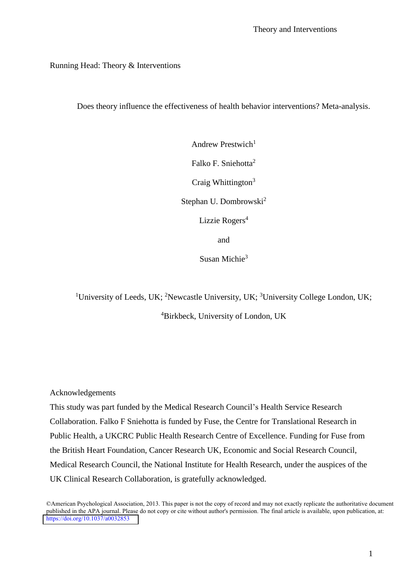### Running Head: Theory & Interventions

Does theory influence the effectiveness of health behavior interventions? Meta-analysis.

Andrew Prestwich $1$ Falko F. Sniehotta<sup>2</sup> Craig Whittington $3$ Stephan U. Dombrowski<sup>2</sup> Lizzie Rogers<sup>4</sup> and

Susan Michie<sup>3</sup>

<sup>1</sup>University of Leeds, UK; <sup>2</sup>Newcastle University, UK; <sup>3</sup>University College London, UK;

<sup>4</sup>Birkbeck, University of London, UK

Acknowledgements

This study was part funded by the Medical Research Council's Health Service Research Collaboration. Falko F Sniehotta is funded by Fuse, the Centre for Translational Research in Public Health, a UKCRC Public Health Research Centre of Excellence. Funding for Fuse from the British Heart Foundation, Cancer Research UK, Economic and Social Research Council, Medical Research Council, the National Institute for Health Research, under the auspices of the UK Clinical Research Collaboration, is gratefully acknowledged.

©American Psychological Association, 2013. This paper is not the copy of record and may not exactly replicate the authoritative document published in the APA journal. Please do not copy or cite without author's permission. The final article is available, upon publication, at: <https://doi.org/10.1037/a0032853>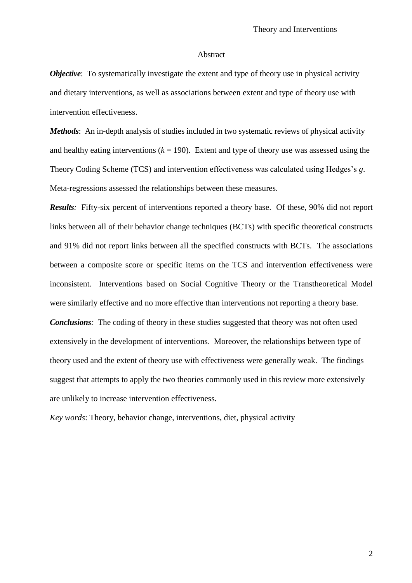#### Abstract

*Objective:* To systematically investigate the extent and type of theory use in physical activity and dietary interventions, as well as associations between extent and type of theory use with intervention effectiveness.

*Methods*: An in-depth analysis of studies included in two systematic reviews of physical activity and healthy eating interventions  $(k = 190)$ . Extent and type of theory use was assessed using the Theory Coding Scheme (TCS) and intervention effectiveness was calculated using Hedges's *g*. Meta-regressions assessed the relationships between these measures.

*Results:* Fifty-six percent of interventions reported a theory base. Of these, 90% did not report links between all of their behavior change techniques (BCTs) with specific theoretical constructs and 91% did not report links between all the specified constructs with BCTs. The associations between a composite score or specific items on the TCS and intervention effectiveness were inconsistent. Interventions based on Social Cognitive Theory or the Transtheoretical Model were similarly effective and no more effective than interventions not reporting a theory base. *Conclusions*: The coding of theory in these studies suggested that theory was not often used extensively in the development of interventions. Moreover, the relationships between type of theory used and the extent of theory use with effectiveness were generally weak. The findings suggest that attempts to apply the two theories commonly used in this review more extensively are unlikely to increase intervention effectiveness.

*Key words*: Theory, behavior change, interventions, diet, physical activity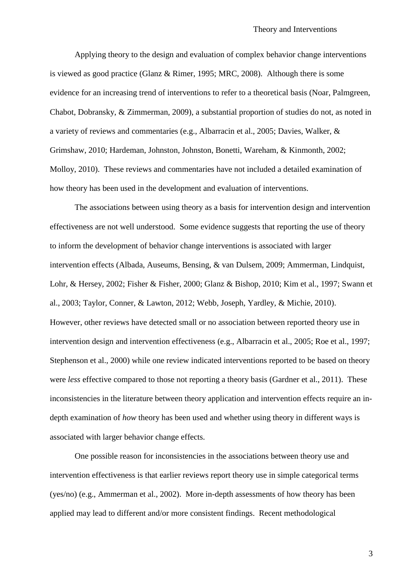Applying theory to the design and evaluation of complex behavior change interventions is viewed as good practice (Glanz & Rimer, 1995; MRC, 2008). Although there is some evidence for an increasing trend of interventions to refer to a theoretical basis (Noar, Palmgreen, Chabot, Dobransky, & Zimmerman, 2009), a substantial proportion of studies do not, as noted in a variety of reviews and commentaries (e.g., Albarracin et al., 2005; Davies, Walker, & Grimshaw, 2010; Hardeman, Johnston, Johnston, Bonetti, Wareham, & Kinmonth, 2002; Molloy, 2010). These reviews and commentaries have not included a detailed examination of how theory has been used in the development and evaluation of interventions.

The associations between using theory as a basis for intervention design and intervention effectiveness are not well understood. Some evidence suggests that reporting the use of theory to inform the development of behavior change interventions is associated with larger intervention effects (Albada, Auseums, Bensing, & van Dulsem, 2009; Ammerman, Lindquist, Lohr, & Hersey, 2002; Fisher & Fisher, 2000; Glanz & Bishop, 2010; Kim et al., 1997; Swann et al., 2003; Taylor, Conner, & Lawton, 2012; Webb, Joseph, Yardley, & Michie, 2010). However, other reviews have detected small or no association between reported theory use in intervention design and intervention effectiveness (e.g., Albarracin et al., 2005; Roe et al., 1997; Stephenson et al., 2000) while one review indicated interventions reported to be based on theory were *less* effective compared to those not reporting a theory basis (Gardner et al., 2011). These inconsistencies in the literature between theory application and intervention effects require an indepth examination of *how* theory has been used and whether using theory in different ways is associated with larger behavior change effects.

One possible reason for inconsistencies in the associations between theory use and intervention effectiveness is that earlier reviews report theory use in simple categorical terms (yes/no) (e.g., Ammerman et al., 2002). More in-depth assessments of how theory has been applied may lead to different and/or more consistent findings. Recent methodological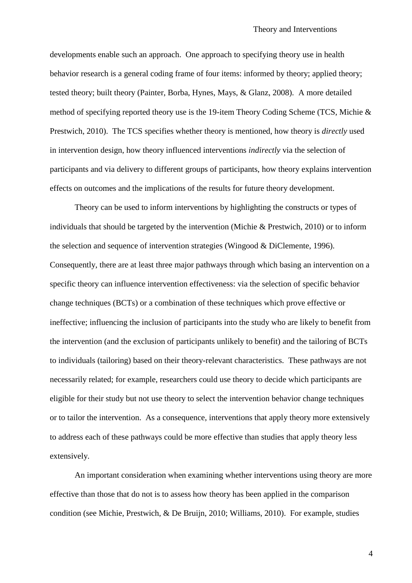developments enable such an approach. One approach to specifying theory use in health behavior research is a general coding frame of four items: informed by theory; applied theory; tested theory; built theory (Painter, Borba, Hynes, Mays, & Glanz, 2008). A more detailed method of specifying reported theory use is the 19-item Theory Coding Scheme (TCS, Michie & Prestwich, 2010). The TCS specifies whether theory is mentioned, how theory is *directly* used in intervention design, how theory influenced interventions *indirectly* via the selection of participants and via delivery to different groups of participants, how theory explains intervention effects on outcomes and the implications of the results for future theory development.

Theory can be used to inform interventions by highlighting the constructs or types of individuals that should be targeted by the intervention (Michie & Prestwich, 2010) or to inform the selection and sequence of intervention strategies (Wingood & DiClemente, 1996). Consequently, there are at least three major pathways through which basing an intervention on a specific theory can influence intervention effectiveness: via the selection of specific behavior change techniques (BCTs) or a combination of these techniques which prove effective or ineffective; influencing the inclusion of participants into the study who are likely to benefit from the intervention (and the exclusion of participants unlikely to benefit) and the tailoring of BCTs to individuals (tailoring) based on their theory-relevant characteristics. These pathways are not necessarily related; for example, researchers could use theory to decide which participants are eligible for their study but not use theory to select the intervention behavior change techniques or to tailor the intervention. As a consequence, interventions that apply theory more extensively to address each of these pathways could be more effective than studies that apply theory less extensively.

An important consideration when examining whether interventions using theory are more effective than those that do not is to assess how theory has been applied in the comparison condition (see Michie, Prestwich, & De Bruijn, 2010; Williams, 2010). For example, studies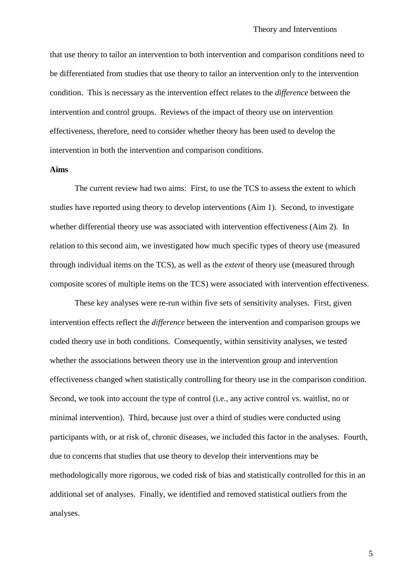that use theory to tailor an intervention to both intervention and comparison conditions need to be differentiated from studies that use theory to tailor an intervention only to the intervention condition. This is necessary as the intervention effect relates to the *difference* between the intervention and control groups. Reviews of the impact of theory use on intervention effectiveness, therefore, need to consider whether theory has been used to develop the intervention in both the intervention and comparison conditions.

### **Aims**

The current review had two aims: First, to use the TCS to assess the extent to which studies have reported using theory to develop interventions (Aim 1). Second, to investigate whether differential theory use was associated with intervention effectiveness (Aim 2). In relation to this second aim, we investigated how much specific types of theory use (measured through individual items on the TCS), as well as the *extent* of theory use (measured through composite scores of multiple items on the TCS) were associated with intervention effectiveness.

These key analyses were re-run within five sets of sensitivity analyses. First, given intervention effects reflect the *difference* between the intervention and comparison groups we coded theory use in both conditions. Consequently, within sensitivity analyses, we tested whether the associations between theory use in the intervention group and intervention effectiveness changed when statistically controlling for theory use in the comparison condition. Second, we took into account the type of control (i.e., any active control vs. waitlist, no or minimal intervention). Third, because just over a third of studies were conducted using participants with, or at risk of, chronic diseases, we included this factor in the analyses. Fourth, due to concerns that studies that use theory to develop their interventions may be methodologically more rigorous, we coded risk of bias and statistically controlled for this in an additional set of analyses. Finally, we identified and removed statistical outliers from the analyses.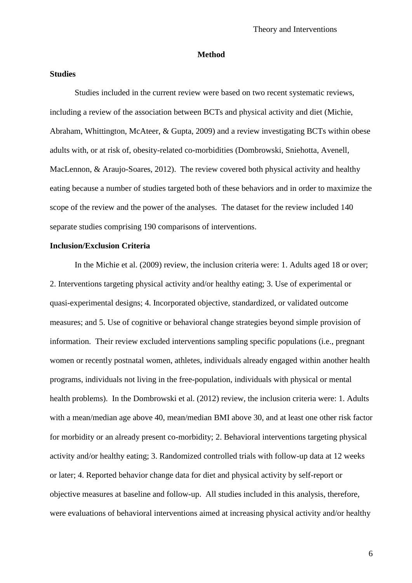#### **Method**

## **Studies**

Studies included in the current review were based on two recent systematic reviews, including a review of the association between BCTs and physical activity and diet (Michie, Abraham, Whittington, McAteer, & Gupta, 2009) and a review investigating BCTs within obese adults with, or at risk of, obesity-related co-morbidities (Dombrowski, Sniehotta, Avenell, MacLennon, & Araujo-Soares, 2012). The review covered both physical activity and healthy eating because a number of studies targeted both of these behaviors and in order to maximize the scope of the review and the power of the analyses. The dataset for the review included 140 separate studies comprising 190 comparisons of interventions.

## **Inclusion/Exclusion Criteria**

In the Michie et al. (2009) review, the inclusion criteria were: 1. Adults aged 18 or over; 2. Interventions targeting physical activity and/or healthy eating; 3. Use of experimental or quasi-experimental designs; 4. Incorporated objective, standardized, or validated outcome measures; and 5. Use of cognitive or behavioral change strategies beyond simple provision of information. Their review excluded interventions sampling specific populations (i.e., pregnant women or recently postnatal women, athletes, individuals already engaged within another health programs, individuals not living in the free-population, individuals with physical or mental health problems). In the Dombrowski et al. (2012) review, the inclusion criteria were: 1. Adults with a mean/median age above 40, mean/median BMI above 30, and at least one other risk factor for morbidity or an already present co-morbidity; 2. Behavioral interventions targeting physical activity and/or healthy eating; 3. Randomized controlled trials with follow-up data at 12 weeks or later; 4. Reported behavior change data for diet and physical activity by self-report or objective measures at baseline and follow-up. All studies included in this analysis, therefore, were evaluations of behavioral interventions aimed at increasing physical activity and/or healthy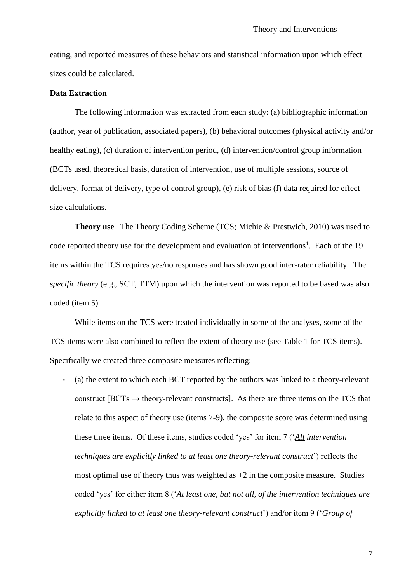eating, and reported measures of these behaviors and statistical information upon which effect sizes could be calculated.

#### **Data Extraction**

The following information was extracted from each study: (a) bibliographic information (author, year of publication, associated papers), (b) behavioral outcomes (physical activity and/or healthy eating), (c) duration of intervention period, (d) intervention/control group information (BCTs used, theoretical basis, duration of intervention, use of multiple sessions, source of delivery, format of delivery, type of control group), (e) risk of bias (f) data required for effect size calculations.

**Theory use***.* The Theory Coding Scheme (TCS; Michie & Prestwich, 2010) was used to code reported theory use for the development and evaluation of interventions<sup>1</sup>. Each of the 19 items within the TCS requires yes/no responses and has shown good inter-rater reliability. The *specific theory* (e.g., SCT, TTM) upon which the intervention was reported to be based was also coded (item 5).

While items on the TCS were treated individually in some of the analyses, some of the TCS items were also combined to reflect the extent of theory use (see Table 1 for TCS items). Specifically we created three composite measures reflecting:

- (a) the extent to which each BCT reported by the authors was linked to a theory-relevant construct  $[BCTs \rightarrow theory-relevant\,constraints]$ . As there are three items on the TCS that relate to this aspect of theory use (items 7-9), the composite score was determined using these three items. Of these items, studies coded 'yes' for item 7 ('*All intervention techniques are explicitly linked to at least one theory-relevant construct*') reflects the most optimal use of theory thus was weighted as  $+2$  in the composite measure. Studies coded 'yes' for either item 8 ('*At least one, but not all, of the intervention techniques are explicitly linked to at least one theory-relevant construct*') and/or item 9 ('*Group of*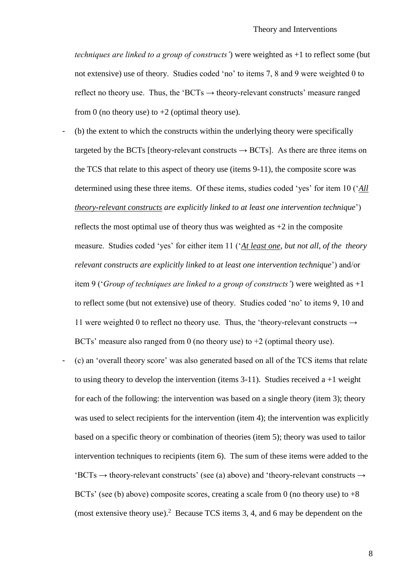*techniques are linked to a group of constructs'*) were weighted as +1 to reflect some (but not extensive) use of theory. Studies coded 'no' to items 7, 8 and 9 were weighted 0 to reflect no theory use. Thus, the 'BCTs  $\rightarrow$  theory-relevant constructs' measure ranged from 0 (no theory use) to  $+2$  (optimal theory use).

- (b) the extent to which the constructs within the underlying theory were specifically targeted by the BCTs [theory-relevant constructs  $\rightarrow$  BCTs]. As there are three items on the TCS that relate to this aspect of theory use (items 9-11), the composite score was determined using these three items. Of these items, studies coded 'yes' for item 10 ('*All theory-relevant constructs are explicitly linked to at least one intervention technique*') reflects the most optimal use of theory thus was weighted as  $+2$  in the composite measure. Studies coded 'yes' for either item 11 ('*At least one, but not all, of the theory relevant constructs are explicitly linked to at least one intervention technique*') and/or item 9 ('*Group of techniques are linked to a group of constructs'*) were weighted as +1 to reflect some (but not extensive) use of theory. Studies coded 'no' to items 9, 10 and 11 were weighted 0 to reflect no theory use. Thus, the 'theory-relevant constructs  $\rightarrow$ BCTs' measure also ranged from 0 (no theory use) to  $+2$  (optimal theory use).
- (c) an 'overall theory score' was also generated based on all of the TCS items that relate to using theory to develop the intervention (items  $3-11$ ). Studies received a  $+1$  weight for each of the following: the intervention was based on a single theory (item 3); theory was used to select recipients for the intervention (item 4); the intervention was explicitly based on a specific theory or combination of theories (item 5); theory was used to tailor intervention techniques to recipients (item 6). The sum of these items were added to the  $'BCTs \rightarrow$  theory-relevant constructs' (see (a) above) and 'theory-relevant constructs  $\rightarrow$ BCTs' (see (b) above) composite scores, creating a scale from 0 (no theory use) to  $+8$ (most extensive theory use).<sup>2</sup> Because TCS items 3, 4, and 6 may be dependent on the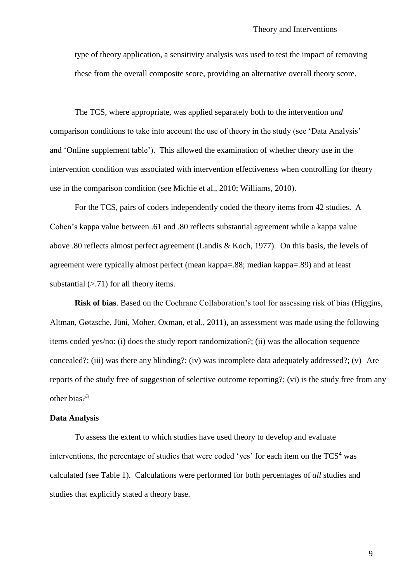type of theory application, a sensitivity analysis was used to test the impact of removing these from the overall composite score, providing an alternative overall theory score.

The TCS, where appropriate, was applied separately both to the intervention *and*  comparison conditions to take into account the use of theory in the study (see 'Data Analysis' and 'Online supplement table'). This allowed the examination of whether theory use in the intervention condition was associated with intervention effectiveness when controlling for theory use in the comparison condition (see Michie et al., 2010; Williams, 2010).

For the TCS, pairs of coders independently coded the theory items from 42 studies. A Cohen's kappa value between .61 and .80 reflects substantial agreement while a kappa value above .80 reflects almost perfect agreement (Landis & Koch, 1977). On this basis, the levels of agreement were typically almost perfect (mean kappa=.88; median kappa=.89) and at least substantial  $(> .71)$  for all theory items.

**Risk of bias**. Based on the Cochrane Collaboration's tool for assessing risk of bias (Higgins, Altman, Gøtzsche, Jüni, Moher, Oxman, et al., 2011), an assessment was made using the following items coded yes/no: (i) does the study report randomization?; (ii) was the allocation sequence concealed?; (iii) was there any blinding?; (iv) was incomplete data adequately addressed?; (v) Are reports of the study free of suggestion of selective outcome reporting?; (vi) is the study free from any other bias?<sup>3</sup>

#### **Data Analysis**

To assess the extent to which studies have used theory to develop and evaluate interventions, the percentage of studies that were coded 'yes' for each item on the  $TCS<sup>4</sup>$  was calculated (see Table 1). Calculations were performed for both percentages of *all* studies and studies that explicitly stated a theory base.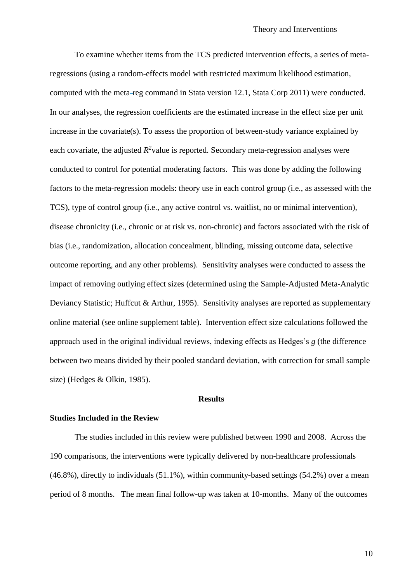To examine whether items from the TCS predicted intervention effects, a series of metaregressions (using a random-effects model with restricted maximum likelihood estimation, computed with the meta-reg command in Stata version 12.1, Stata Corp 2011) were conducted. In our analyses, the regression coefficients are the estimated increase in the effect size per unit increase in the covariate(s). To assess the proportion of between-study variance explained by each covariate, the adjusted  $R^2$  value is reported. Secondary meta-regression analyses were conducted to control for potential moderating factors. This was done by adding the following factors to the meta-regression models: theory use in each control group (i.e., as assessed with the TCS), type of control group (i.e., any active control vs. waitlist, no or minimal intervention), disease chronicity (i.e., chronic or at risk vs. non-chronic) and factors associated with the risk of bias (i.e., randomization, allocation concealment, blinding, missing outcome data, selective outcome reporting, and any other problems). Sensitivity analyses were conducted to assess the impact of removing outlying effect sizes (determined using the Sample-Adjusted Meta-Analytic Deviancy Statistic; Huffcut & Arthur, 1995). Sensitivity analyses are reported as supplementary online material (see online supplement table). Intervention effect size calculations followed the approach used in the original individual reviews, indexing effects as Hedges's *g* (the difference between two means divided by their pooled standard deviation, with correction for small sample size) (Hedges & Olkin, 1985).

## **Results**

#### **Studies Included in the Review**

The studies included in this review were published between 1990 and 2008. Across the 190 comparisons, the interventions were typically delivered by non-healthcare professionals (46.8%), directly to individuals (51.1%), within community-based settings (54.2%) over a mean period of 8 months. The mean final follow-up was taken at 10-months. Many of the outcomes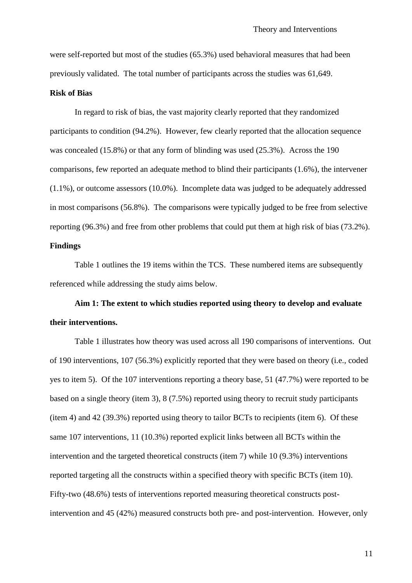were self-reported but most of the studies (65.3%) used behavioral measures that had been previously validated. The total number of participants across the studies was 61,649.

#### **Risk of Bias**

In regard to risk of bias, the vast majority clearly reported that they randomized participants to condition (94.2%). However, few clearly reported that the allocation sequence was concealed (15.8%) or that any form of blinding was used (25.3%). Across the 190 comparisons, few reported an adequate method to blind their participants (1.6%), the intervener (1.1%), or outcome assessors (10.0%). Incomplete data was judged to be adequately addressed in most comparisons (56.8%). The comparisons were typically judged to be free from selective reporting (96.3%) and free from other problems that could put them at high risk of bias (73.2%).

# **Findings**

Table 1 outlines the 19 items within the TCS. These numbered items are subsequently referenced while addressing the study aims below.

**Aim 1: The extent to which studies reported using theory to develop and evaluate their interventions.**

Table 1 illustrates how theory was used across all 190 comparisons of interventions. Out of 190 interventions, 107 (56.3%) explicitly reported that they were based on theory (i.e., coded yes to item 5). Of the 107 interventions reporting a theory base, 51 (47.7%) were reported to be based on a single theory (item 3), 8 (7.5%) reported using theory to recruit study participants (item 4) and 42 (39.3%) reported using theory to tailor BCTs to recipients (item 6). Of these same 107 interventions, 11 (10.3%) reported explicit links between all BCTs within the intervention and the targeted theoretical constructs (item 7) while 10 (9.3%) interventions reported targeting all the constructs within a specified theory with specific BCTs (item 10). Fifty-two (48.6%) tests of interventions reported measuring theoretical constructs postintervention and 45 (42%) measured constructs both pre- and post-intervention. However, only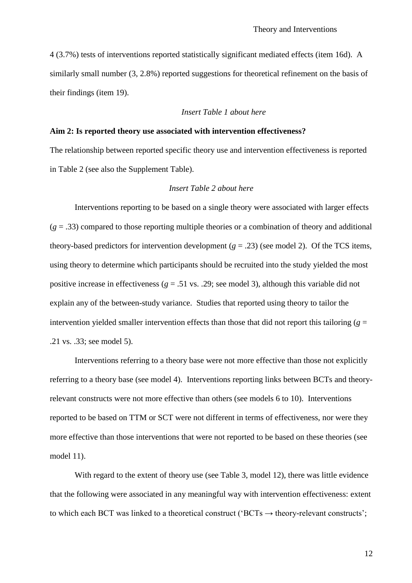4 (3.7%) tests of interventions reported statistically significant mediated effects (item 16d). A similarly small number (3, 2.8%) reported suggestions for theoretical refinement on the basis of their findings (item 19).

## *Insert Table 1 about here*

#### **Aim 2: Is reported theory use associated with intervention effectiveness?**

The relationship between reported specific theory use and intervention effectiveness is reported in Table 2 (see also the Supplement Table).

## *Insert Table 2 about here*

Interventions reporting to be based on a single theory were associated with larger effects  $(g = .33)$  compared to those reporting multiple theories or a combination of theory and additional theory-based predictors for intervention development  $(g = .23)$  (see model 2). Of the TCS items, using theory to determine which participants should be recruited into the study yielded the most positive increase in effectiveness ( $g = .51$  vs. .29; see model 3), although this variable did not explain any of the between-study variance. Studies that reported using theory to tailor the intervention yielded smaller intervention effects than those that did not report this tailoring ( $g =$ .21 vs. .33; see model 5).

Interventions referring to a theory base were not more effective than those not explicitly referring to a theory base (see model 4). Interventions reporting links between BCTs and theoryrelevant constructs were not more effective than others (see models 6 to 10). Interventions reported to be based on TTM or SCT were not different in terms of effectiveness, nor were they more effective than those interventions that were not reported to be based on these theories (see model 11).

With regard to the extent of theory use (see Table 3, model 12), there was little evidence that the following were associated in any meaningful way with intervention effectiveness: extent to which each BCT was linked to a theoretical construct (' $BCTs \rightarrow$  theory-relevant constructs';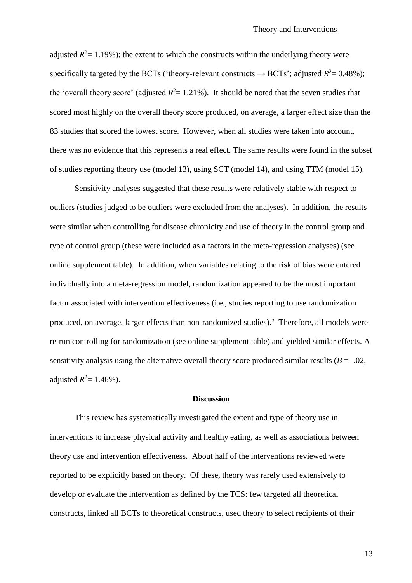adjusted  $R^2$  = 1.19%); the extent to which the constructs within the underlying theory were specifically targeted by the BCTs ('theory-relevant constructs  $\rightarrow$  BCTs'; adjusted  $R^2 = 0.48\%$ ); the 'overall theory score' (adjusted  $R^2 = 1.21\%$ ). It should be noted that the seven studies that scored most highly on the overall theory score produced, on average, a larger effect size than the 83 studies that scored the lowest score. However, when all studies were taken into account, there was no evidence that this represents a real effect. The same results were found in the subset of studies reporting theory use (model 13), using SCT (model 14), and using TTM (model 15).

Sensitivity analyses suggested that these results were relatively stable with respect to outliers (studies judged to be outliers were excluded from the analyses). In addition, the results were similar when controlling for disease chronicity and use of theory in the control group and type of control group (these were included as a factors in the meta-regression analyses) (see online supplement table). In addition, when variables relating to the risk of bias were entered individually into a meta-regression model, randomization appeared to be the most important factor associated with intervention effectiveness (i.e., studies reporting to use randomization produced, on average, larger effects than non-randomized studies).<sup>5</sup> Therefore, all models were re-run controlling for randomization (see online supplement table) and yielded similar effects. A sensitivity analysis using the alternative overall theory score produced similar results  $(B = -0.02,$ adjusted  $R^2 = 1.46\%$ ).

### **Discussion**

This review has systematically investigated the extent and type of theory use in interventions to increase physical activity and healthy eating, as well as associations between theory use and intervention effectiveness. About half of the interventions reviewed were reported to be explicitly based on theory. Of these, theory was rarely used extensively to develop or evaluate the intervention as defined by the TCS: few targeted all theoretical constructs, linked all BCTs to theoretical constructs, used theory to select recipients of their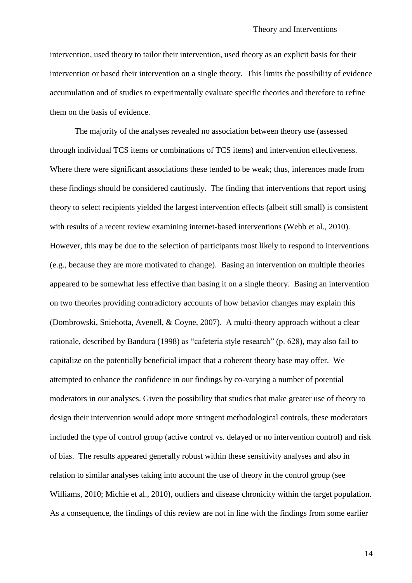intervention, used theory to tailor their intervention, used theory as an explicit basis for their intervention or based their intervention on a single theory. This limits the possibility of evidence accumulation and of studies to experimentally evaluate specific theories and therefore to refine them on the basis of evidence.

The majority of the analyses revealed no association between theory use (assessed through individual TCS items or combinations of TCS items) and intervention effectiveness. Where there were significant associations these tended to be weak; thus, inferences made from these findings should be considered cautiously. The finding that interventions that report using theory to select recipients yielded the largest intervention effects (albeit still small) is consistent with results of a recent review examining internet-based interventions (Webb et al., 2010). However, this may be due to the selection of participants most likely to respond to interventions (e.g., because they are more motivated to change). Basing an intervention on multiple theories appeared to be somewhat less effective than basing it on a single theory. Basing an intervention on two theories providing contradictory accounts of how behavior changes may explain this (Dombrowski, Sniehotta, Avenell, & Coyne, 2007). A multi-theory approach without a clear rationale, described by Bandura (1998) as "cafeteria style research" (p. 628), may also fail to capitalize on the potentially beneficial impact that a coherent theory base may offer. We attempted to enhance the confidence in our findings by co-varying a number of potential moderators in our analyses. Given the possibility that studies that make greater use of theory to design their intervention would adopt more stringent methodological controls, these moderators included the type of control group (active control vs. delayed or no intervention control) and risk of bias. The results appeared generally robust within these sensitivity analyses and also in relation to similar analyses taking into account the use of theory in the control group (see Williams, 2010; Michie et al., 2010), outliers and disease chronicity within the target population. As a consequence, the findings of this review are not in line with the findings from some earlier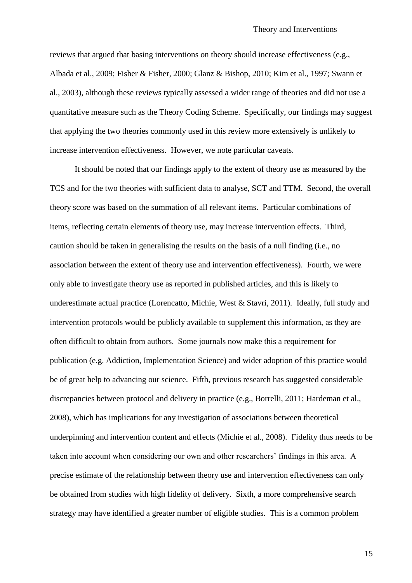reviews that argued that basing interventions on theory should increase effectiveness (e.g., Albada et al., 2009; Fisher & Fisher, 2000; Glanz & Bishop, 2010; Kim et al., 1997; Swann et al., 2003), although these reviews typically assessed a wider range of theories and did not use a quantitative measure such as the Theory Coding Scheme. Specifically, our findings may suggest that applying the two theories commonly used in this review more extensively is unlikely to increase intervention effectiveness. However, we note particular caveats.

It should be noted that our findings apply to the extent of theory use as measured by the TCS and for the two theories with sufficient data to analyse, SCT and TTM. Second, the overall theory score was based on the summation of all relevant items. Particular combinations of items, reflecting certain elements of theory use, may increase intervention effects. Third, caution should be taken in generalising the results on the basis of a null finding (i.e., no association between the extent of theory use and intervention effectiveness). Fourth, we were only able to investigate theory use as reported in published articles, and this is likely to underestimate actual practice (Lorencatto, Michie, West & Stavri, 2011). Ideally, full study and intervention protocols would be publicly available to supplement this information, as they are often difficult to obtain from authors. Some journals now make this a requirement for publication (e.g. Addiction, Implementation Science) and wider adoption of this practice would be of great help to advancing our science. Fifth, previous research has suggested considerable discrepancies between protocol and delivery in practice (e.g., Borrelli, 2011; Hardeman et al., 2008), which has implications for any investigation of associations between theoretical underpinning and intervention content and effects (Michie et al., 2008). Fidelity thus needs to be taken into account when considering our own and other researchers' findings in this area. A precise estimate of the relationship between theory use and intervention effectiveness can only be obtained from studies with high fidelity of delivery. Sixth, a more comprehensive search strategy may have identified a greater number of eligible studies. This is a common problem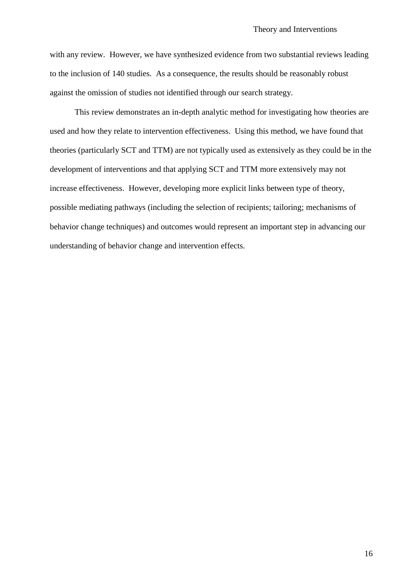with any review. However, we have synthesized evidence from two substantial reviews leading to the inclusion of 140 studies. As a consequence, the results should be reasonably robust against the omission of studies not identified through our search strategy.

This review demonstrates an in-depth analytic method for investigating how theories are used and how they relate to intervention effectiveness. Using this method, we have found that theories (particularly SCT and TTM) are not typically used as extensively as they could be in the development of interventions and that applying SCT and TTM more extensively may not increase effectiveness. However, developing more explicit links between type of theory, possible mediating pathways (including the selection of recipients; tailoring; mechanisms of behavior change techniques) and outcomes would represent an important step in advancing our understanding of behavior change and intervention effects.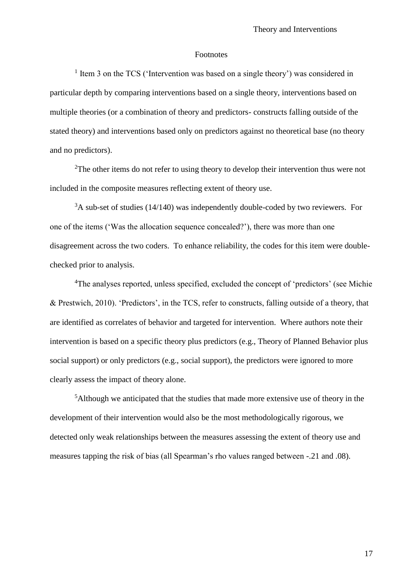#### Footnotes

<sup>1</sup> Item 3 on the TCS ('Intervention was based on a single theory') was considered in particular depth by comparing interventions based on a single theory, interventions based on multiple theories (or a combination of theory and predictors- constructs falling outside of the stated theory) and interventions based only on predictors against no theoretical base (no theory and no predictors).

<sup>2</sup>The other items do not refer to using theory to develop their intervention thus were not included in the composite measures reflecting extent of theory use.

 $3A$  sub-set of studies (14/140) was independently double-coded by two reviewers. For one of the items ('Was the allocation sequence concealed?'), there was more than one disagreement across the two coders. To enhance reliability, the codes for this item were doublechecked prior to analysis.

<sup>4</sup>The analyses reported, unless specified, excluded the concept of 'predictors' (see Michie) & Prestwich, 2010). 'Predictors', in the TCS, refer to constructs, falling outside of a theory, that are identified as correlates of behavior and targeted for intervention. Where authors note their intervention is based on a specific theory plus predictors (e.g., Theory of Planned Behavior plus social support) or only predictors (e.g., social support), the predictors were ignored to more clearly assess the impact of theory alone.

<sup>5</sup>Although we anticipated that the studies that made more extensive use of theory in the development of their intervention would also be the most methodologically rigorous, we detected only weak relationships between the measures assessing the extent of theory use and measures tapping the risk of bias (all Spearman's rho values ranged between -.21 and .08).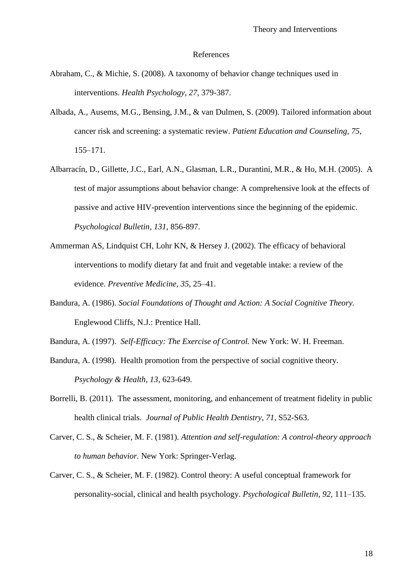#### References

- Abraham, C., & Michie, S. (2008). A taxonomy of behavior change techniques used in interventions. *Health Psychology, 27*, 379-387.
- Albada, A., Ausems, M.G., Bensing, J.M., & van Dulmen, S. (2009). Tailored information about cancer risk and screening: a systematic review. *Patient Education and Counseling, 75*, 155–171.
- Albarracín, D., Gillette, J.C., Earl, A.N., Glasman, L.R., Durantini, M.R., & Ho, M.H. (2005). A test of major assumptions about behavior change: A comprehensive look at the effects of passive and active HIV-prevention interventions since the beginning of the epidemic. *Psychological Bulletin*, *131*, 856-897.
- Ammerman AS, Lindquist CH, Lohr KN, & Hersey J. (2002). The efficacy of behavioral interventions to modify dietary fat and fruit and vegetable intake: a review of the evidence. *Preventive Medicine*, *35*, 25–41.
- Bandura, A. (1986). *Social Foundations of Thought and Action: A Social Cognitive Theory.*  Englewood Cliffs, N.J.: Prentice Hall.
- Bandura, A. (1997). *Self-Efficacy: The Exercise of Control.* New York: W. H. Freeman.
- Bandura, A. (1998). Health promotion from the perspective of social cognitive theory. *Psychology & Health*, *13*, 623-649.
- Borrelli, B. (2011). The assessment, monitoring, and enhancement of treatment fidelity in public health clinical trials. *Journal of Public Health Dentistry*, *71*, S52-S63.
- Carver, C. S., & Scheier, M. F. (1981). *Attention and self-regulation: A control-theory approach to human behavior.* New York: Springer-Verlag.
- Carver, C. S., & Scheier, M. F. (1982). Control theory: A useful conceptual framework for personality-social, clinical and health psychology. *Psychological Bulletin, 92,* 111–135.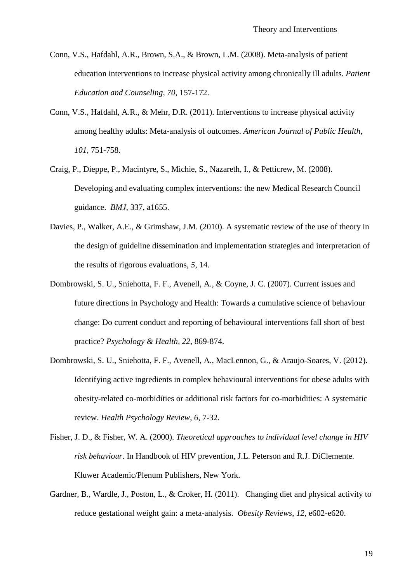- Conn, V.S., Hafdahl, A.R., Brown, S.A., & Brown, L.M. (2008). Meta-analysis of patient education interventions to increase physical activity among chronically ill adults. *Patient Education and Counseling*, *70*, 157-172.
- Conn, V.S., Hafdahl, A.R., & Mehr, D.R. (2011). Interventions to increase physical activity among healthy adults: Meta-analysis of outcomes. *American Journal of Public Health*, *101*, 751-758.
- Craig, P., Dieppe, P., Macintyre, S., Michie, S., Nazareth, I., & Petticrew, M. (2008). Developing and evaluating complex interventions: the new Medical Research Council guidance. *BMJ*, 337, a1655.
- Davies, P., Walker, A.E., & Grimshaw, J.M. (2010). A systematic review of the use of theory in the design of guideline dissemination and implementation strategies and interpretation of the results of rigorous evaluations, *5*, 14.
- Dombrowski, S. U., Sniehotta, F. F., Avenell, A., & Coyne, J. C. (2007). Current issues and future directions in Psychology and Health: Towards a cumulative science of behaviour change: Do current conduct and reporting of behavioural interventions fall short of best practice? *Psychology & Health, 22*, 869-874.
- Dombrowski, S. U., Sniehotta, F. F., Avenell, A., MacLennon, G., & Araujo-Soares, V. (2012). Identifying active ingredients in complex behavioural interventions for obese adults with obesity-related co-morbidities or additional risk factors for co-morbidities: A systematic review. *Health Psychology Review*, *6*, 7-32.
- Fisher, J. D., & Fisher, W. A. (2000). *Theoretical approaches to individual level change in HIV risk behaviour*. In Handbook of HIV prevention, J.L. Peterson and R.J. DiClemente. Kluwer Academic/Plenum Publishers, New York.
- Gardner, B., Wardle, J., Poston, L., & Croker, H. (2011). Changing diet and physical activity to reduce gestational weight gain: a meta-analysis. *Obesity Reviews*, *12*, e602-e620.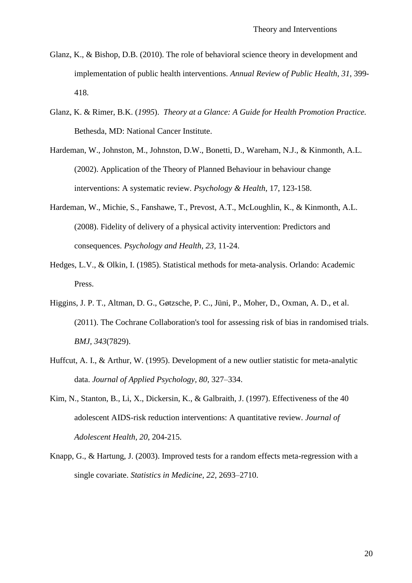- Glanz, K., & Bishop, D.B. (2010). The role of behavioral science theory in development and implementation of public health interventions. *Annual Review of Public Health*, *31*, 399- 418.
- Glanz, K. & Rimer, B.K. (*1995*). *Theory at a Glance: A Guide for Health Promotion Practice.*  Bethesda, MD: National Cancer Institute.
- Hardeman, W., Johnston, M., Johnston, D.W., Bonetti, D., Wareham, N.J., & Kinmonth, A.L. (2002). Application of the Theory of Planned Behaviour in behaviour change interventions: A systematic review. *Psychology & Health*, 17, 123-158.
- Hardeman, W., Michie, S., Fanshawe, T., Prevost, A.T., McLoughlin, K., & Kinmonth, A.L. (2008). Fidelity of delivery of a physical activity intervention: Predictors and consequences. *Psychology and Health, 23,* 11-24.
- Hedges, L.V., & Olkin, I. (1985). Statistical methods for meta-analysis. Orlando: Academic Press.
- Higgins, J. P. T., Altman, D. G., Gøtzsche, P. C., Jüni, P., Moher, D., Oxman, A. D., et al. (2011). The Cochrane Collaboration's tool for assessing risk of bias in randomised trials. *BMJ, 343*(7829).
- Huffcut, A. I., & Arthur, W. (1995). Development of a new outlier statistic for meta-analytic data. *Journal of Applied Psychology, 80*, 327–334.
- Kim, N., Stanton, B., Li, X., Dickersin, K., & Galbraith, J. (1997). Effectiveness of the 40 adolescent AIDS-risk reduction interventions: A quantitative review. *Journal of Adolescent Health, 20,* 204-215.
- Knapp, G., & Hartung, J. (2003). Improved tests for a random effects meta-regression with a single covariate. *Statistics in Medicine, 22,* 2693–2710.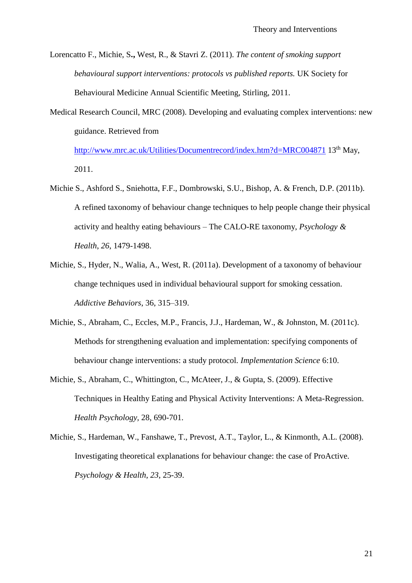Lorencatto F., Michie, S**.,** West, R., & Stavri Z. (2011). *The content of smoking support behavioural support interventions: protocols vs published reports.* UK Society for Behavioural Medicine Annual Scientific Meeting, Stirling, 2011.

Medical Research Council, MRC (2008). Developing and evaluating complex interventions: new guidance. Retrieved from

<http://www.mrc.ac.uk/Utilities/Documentrecord/index.htm?d=MRC004871> 13<sup>th</sup> May, 2011.

- Michie S., Ashford S., Sniehotta, F.F., Dombrowski, S.U., Bishop, A. & French, D.P. (2011b). A refined taxonomy of behaviour change techniques to help people change their physical activity and healthy eating behaviours – The CALO-RE taxonomy, *Psychology & Health*, *26*, 1479-1498.
- Michie, S., Hyder, N., Walia, A., West, R. (2011a). Development of a taxonomy of behaviour change techniques used in individual behavioural support for smoking cessation. *Addictive Behaviors*, 36, 315–319.
- Michie, S., Abraham, C., Eccles, M.P., Francis, J.J., Hardeman, W., & Johnston, M. (2011c). Methods for strengthening evaluation and implementation: specifying components of behaviour change interventions: a study protocol. *Implementation Science* 6:10.
- Michie, S., Abraham, C., Whittington, C., McAteer, J., & Gupta, S. (2009). Effective Techniques in Healthy Eating and Physical Activity Interventions: A Meta-Regression. *Health Psychology,* 28, 690-701.
- Michie, S., Hardeman, W., Fanshawe, T., Prevost, A.T., Taylor, L., & Kinmonth, A.L. (2008). Investigating theoretical explanations for behaviour change: the case of ProActive. *Psychology & Health*, *23*, 25-39.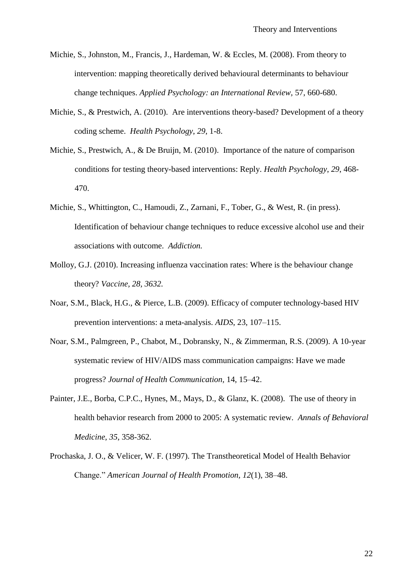- Michie, S., Johnston, M., Francis, J., Hardeman, W. & Eccles, M. (2008). From theory to intervention: mapping theoretically derived behavioural determinants to behaviour change techniques. *Applied Psychology: an International Review,* 57, 660-680.
- Michie, S., & Prestwich, A. (2010). Are interventions theory-based? Development of a theory coding scheme. *Health Psychology*, *29*, 1-8.
- Michie, S., Prestwich, A., & De Bruijn, M. (2010). Importance of the nature of comparison conditions for testing theory-based interventions: Reply. *Health Psychology*, *29*, 468- 470.
- Michie, S., Whittington, C., Hamoudi, Z., Zarnani, F., Tober, G., & West, R. (in press). Identification of behaviour change techniques to reduce excessive alcohol use and their associations with outcome. *Addiction.*
- Molloy, G.J. (2010). Increasing influenza vaccination rates: Where is the behaviour change theory? *Vaccine, 28, 3632.*
- Noar, S.M., Black, H.G., & Pierce, L.B. (2009). Efficacy of computer technology-based HIV prevention interventions: a meta-analysis. *AIDS*, 23, 107–115.
- Noar, S.M., Palmgreen, P., Chabot, M., Dobransky, N., & Zimmerman, R.S. (2009). A 10-year systematic review of HIV/AIDS mass communication campaigns: Have we made progress? *Journal of Health Communication,* 14, 15–42.
- Painter, J.E., Borba, C.P.C., Hynes, M., Mays, D., & Glanz, K. (2008). The use of theory in health behavior research from 2000 to 2005: A systematic review. *Annals of Behavioral Medicine*, *35*, 358-362.
- Prochaska, J. O., & Velicer, W. F. (1997). The Transtheoretical Model of Health Behavior Change." *American Journal of Health Promotion, 12*(1), 38–48.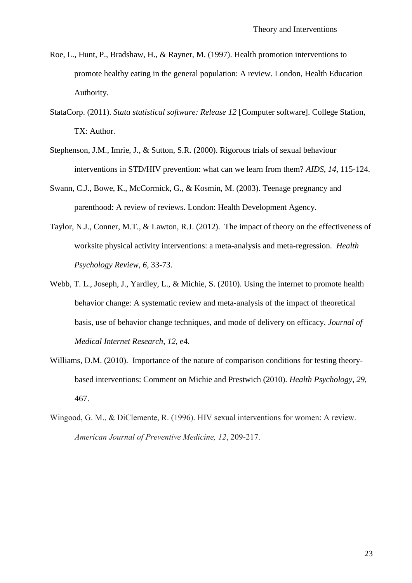- Roe, L., Hunt, P., Bradshaw, H., & Rayner, M. (1997). Health promotion interventions to promote healthy eating in the general population: A review. London, Health Education Authority.
- StataCorp. (2011). *Stata statistical software: Release 12* [Computer software]. College Station, TX: Author.
- Stephenson, J.M., Imrie, J., & Sutton, S.R. (2000). Rigorous trials of sexual behaviour interventions in STD/HIV prevention: what can we learn from them? *AIDS*, *14*, 115-124.
- Swann, C.J., Bowe, K., McCormick, G., & Kosmin, M. (2003). Teenage pregnancy and parenthood: A review of reviews. London: Health Development Agency.
- Taylor, N.J., Conner, M.T., & Lawton, R.J. (2012). The impact of theory on the effectiveness of worksite physical activity interventions: a meta-analysis and meta-regression.*Health Psychology Review*, *6*, 33-73.
- Webb, T. L., Joseph, J., Yardley, L., & Michie, S. (2010). Using the internet to promote health behavior change: A systematic review and meta-analysis of the impact of theoretical basis, use of behavior change techniques, and mode of delivery on efficacy. *Journal of Medical Internet Research*, *12*, e4.
- Williams, D.M. (2010). Importance of the nature of comparison conditions for testing theorybased interventions: Comment on Michie and Prestwich (2010). *Health Psychology*, *29*, 467.
- Wingood, G. M., & DiClemente, R. (1996). HIV sexual interventions for women: A review. *American Journal of Preventive Medicine, 12*, 209-217.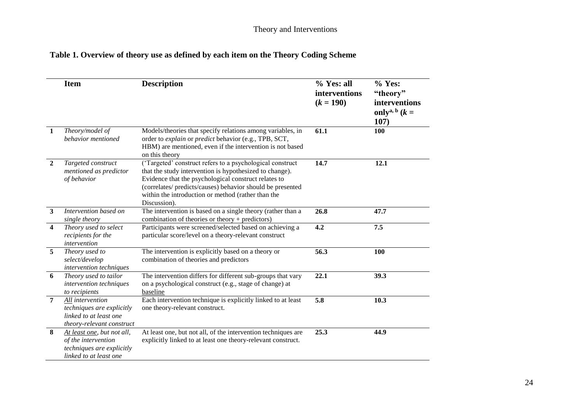# **Table 1. Overview of theory use as defined by each item on the Theory Coding Scheme**

|                         | <b>Item</b>                                                                                              | <b>Description</b>                                                                                                                                                                                                                                                                                               | % Yes: all<br>interventions<br>$(k = 190)$ | $%$ Yes:<br>"theory"<br>interventions<br>only <sup>a, b</sup> $(k =$<br>107) |
|-------------------------|----------------------------------------------------------------------------------------------------------|------------------------------------------------------------------------------------------------------------------------------------------------------------------------------------------------------------------------------------------------------------------------------------------------------------------|--------------------------------------------|------------------------------------------------------------------------------|
| $\mathbf{1}$            | Theory/model of<br>behavior mentioned                                                                    | Models/theories that specify relations among variables, in<br>order to explain or predict behavior (e.g., TPB, SCT,<br>HBM) are mentioned, even if the intervention is not based<br>on this theory                                                                                                               | 61.1                                       | 100                                                                          |
| $\overline{2}$          | Targeted construct<br>mentioned as predictor<br>of behavior                                              | ('Targeted' construct refers to a psychological construct<br>that the study intervention is hypothesized to change).<br>Evidence that the psychological construct relates to<br>(correlates/ predicts/causes) behavior should be presented<br>within the introduction or method (rather than the<br>Discussion). | 14.7                                       | 12.1                                                                         |
| $\mathbf{3}$            | Intervention based on<br>single theory                                                                   | The intervention is based on a single theory (rather than a<br>combination of theories or theory + predictors)                                                                                                                                                                                                   | 26.8                                       | 47.7                                                                         |
| $\overline{\mathbf{4}}$ | Theory used to select<br>recipients for the<br>intervention                                              | Participants were screened/selected based on achieving a<br>particular score/level on a theory-relevant construct                                                                                                                                                                                                | 4.2                                        | 7.5                                                                          |
| $\overline{5}$          | Theory used to<br>select/develop<br>intervention techniques                                              | The intervention is explicitly based on a theory or<br>combination of theories and predictors                                                                                                                                                                                                                    | 56.3                                       | 100                                                                          |
| 6                       | Theory used to tailor<br>intervention techniques<br>to recipients                                        | The intervention differs for different sub-groups that vary<br>on a psychological construct (e.g., stage of change) at<br>baseline                                                                                                                                                                               | 22.1                                       | 39.3                                                                         |
| $\overline{7}$          | All intervention<br>techniques are explicitly<br>linked to at least one<br>theory-relevant construct     | Each intervention technique is explicitly linked to at least<br>one theory-relevant construct.                                                                                                                                                                                                                   | 5.8                                        | 10.3                                                                         |
| 8                       | At least one, but not all,<br>of the intervention<br>techniques are explicitly<br>linked to at least one | At least one, but not all, of the intervention techniques are<br>explicitly linked to at least one theory-relevant construct.                                                                                                                                                                                    | 25.3                                       | 44.9                                                                         |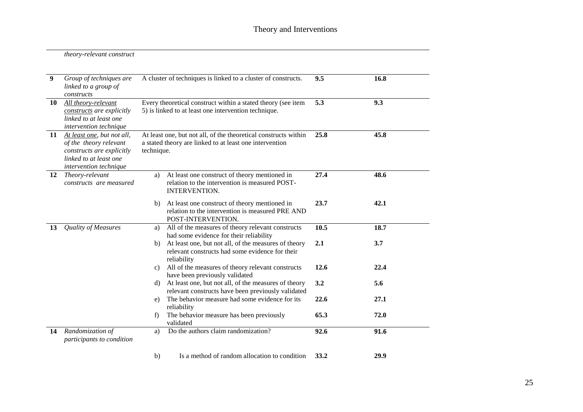| theory-relevant construct |  |
|---------------------------|--|
|---------------------------|--|

| $\boldsymbol{9}$ | Group of techniques are<br>linked to a group of<br>constructs                                                                                | A cluster of techniques is linked to a cluster of constructs.                                                                            | 9.5  | 16.8 |
|------------------|----------------------------------------------------------------------------------------------------------------------------------------------|------------------------------------------------------------------------------------------------------------------------------------------|------|------|
| 10               | All theory-relevant<br>constructs are explicitly<br>linked to at least one<br>intervention technique                                         | Every theoretical construct within a stated theory (see item<br>5) is linked to at least one intervention technique.                     | 5.3  | 9.3  |
| 11               | At least one, but not all,<br>of the theory relevant<br>constructs are explicitly<br>linked to at least one<br><i>intervention technique</i> | At least one, but not all, of the theoretical constructs within<br>a stated theory are linked to at least one intervention<br>technique. | 25.8 | 45.8 |
| 12               | Theory-relevant<br>constructs are measured                                                                                                   | At least one construct of theory mentioned in<br>a)<br>relation to the intervention is measured POST-<br>INTERVENTION.                   | 27.4 | 48.6 |
|                  |                                                                                                                                              | At least one construct of theory mentioned in<br>b)<br>relation to the intervention is measured PRE AND<br>POST-INTERVENTION.            | 23.7 | 42.1 |
| 13               | <b>Quality of Measures</b>                                                                                                                   | All of the measures of theory relevant constructs<br>a)<br>had some evidence for their reliability                                       | 10.5 | 18.7 |
|                  |                                                                                                                                              | At least one, but not all, of the measures of theory<br>b)<br>relevant constructs had some evidence for their<br>reliability             | 2.1  | 3.7  |
|                  |                                                                                                                                              | All of the measures of theory relevant constructs<br>c)<br>have been previously validated                                                | 12.6 | 22.4 |
|                  |                                                                                                                                              | At least one, but not all, of the measures of theory<br>d)<br>relevant constructs have been previously validated                         | 3.2  | 5.6  |
|                  |                                                                                                                                              | The behavior measure had some evidence for its<br>e)<br>reliability                                                                      | 22.6 | 27.1 |
|                  |                                                                                                                                              | The behavior measure has been previously<br>f)<br>validated                                                                              | 65.3 | 72.0 |
| 14               | Randomization of<br>participants to condition                                                                                                | Do the authors claim randomization?<br>a)                                                                                                | 92.6 | 91.6 |
|                  |                                                                                                                                              | Is a method of random allocation to condition<br>b)                                                                                      | 33.2 | 29.9 |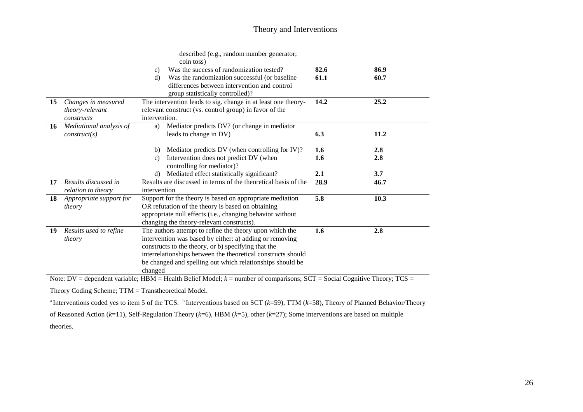## Theory and Interventions

|    |                                                      | described (e.g., random number generator;<br>coin toss)                                                                                                                                                                                                                                                           |              |              |
|----|------------------------------------------------------|-------------------------------------------------------------------------------------------------------------------------------------------------------------------------------------------------------------------------------------------------------------------------------------------------------------------|--------------|--------------|
|    |                                                      | Was the success of randomization tested?<br>c)<br>Was the randomization successful (or baseline<br>d)<br>differences between intervention and control                                                                                                                                                             | 82.6<br>61.1 | 86.9<br>60.7 |
|    |                                                      | group statistically controlled)?                                                                                                                                                                                                                                                                                  |              |              |
| 15 | Changes in measured<br>theory-relevant<br>constructs | The intervention leads to sig. change in at least one theory-<br>relevant construct (vs. control group) in favor of the<br>intervention.                                                                                                                                                                          | 14.2         | 25.2         |
| 16 | Mediational analysis of<br>construct(s)              | Mediator predicts DV? (or change in mediator<br>a)<br>leads to change in DV)                                                                                                                                                                                                                                      | 6.3          | 11.2         |
|    |                                                      | Mediator predicts DV (when controlling for IV)?<br>b)<br>Intervention does not predict DV (when<br>$\mathcal{C}$ )<br>controlling for mediator)?                                                                                                                                                                  | 1.6<br>1.6   | 2.8<br>2.8   |
|    |                                                      | Mediated effect statistically significant?<br>d)                                                                                                                                                                                                                                                                  | 2.1          | 3.7          |
| 17 | Results discussed in<br>relation to theory           | Results are discussed in terms of the theoretical basis of the<br>intervention                                                                                                                                                                                                                                    | 28.9         | 46.7         |
| 18 | Appropriate support for<br>theory                    | Support for the theory is based on appropriate mediation<br>OR refutation of the theory is based on obtaining<br>appropriate null effects (i.e., changing behavior without<br>changing the theory-relevant constructs).                                                                                           | 5.8          | 10.3         |
| 19 | Results used to refine<br>theory                     | The authors attempt to refine the theory upon which the<br>intervention was based by either: a) adding or removing<br>constructs to the theory, or b) specifying that the<br>interrelationships between the theoretical constructs should<br>be changed and spelling out which relationships should be<br>changed | 1.6          | 2.8          |

Note: DV = dependent variable; HBM = Health Belief Model;  $k$  = number of comparisons; SCT = Social Cognitive Theory; TCS =

Theory Coding Scheme; TTM = Transtheoretical Model.

<sup>a</sup> Interventions coded yes to item 5 of the TCS. <sup>b</sup> Interventions based on SCT (*k*=59), TTM (*k*=58), Theory of Planned Behavior/Theory

of Reasoned Action (*k*=11), Self-Regulation Theory (*k*=6), HBM (*k*=5), other (*k*=27); Some interventions are based on multiple

theories.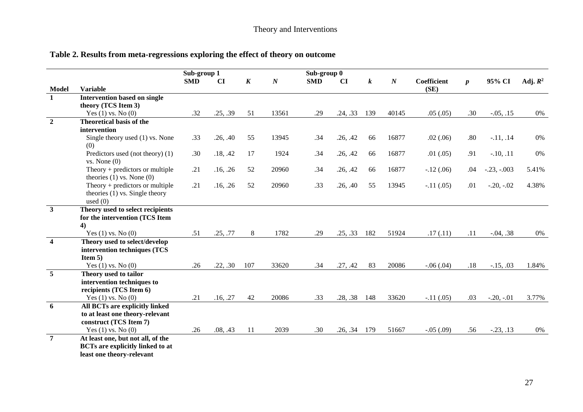| Table 2. Results from meta-regressions exploring the effect of theory on outcome |  |
|----------------------------------------------------------------------------------|--|
|----------------------------------------------------------------------------------|--|

|                         |                                                                                                           | Sub-group 1 |                        |                  |                  | Sub-group 0 |                |                  |                  |             |                  |               |            |
|-------------------------|-----------------------------------------------------------------------------------------------------------|-------------|------------------------|------------------|------------------|-------------|----------------|------------------|------------------|-------------|------------------|---------------|------------|
|                         |                                                                                                           | <b>SMD</b>  | $\mathbf{C}\mathbf{I}$ | $\boldsymbol{K}$ | $\boldsymbol{N}$ | <b>SMD</b>  | CI             | $\boldsymbol{k}$ | $\boldsymbol{N}$ | Coefficient | $\boldsymbol{p}$ | 95% CI        | Adj. $R^2$ |
| <b>Model</b>            | <b>Variable</b>                                                                                           |             |                        |                  |                  |             |                |                  |                  | (SE)        |                  |               |            |
| $\mathbf{1}$            | <b>Intervention based on single</b>                                                                       |             |                        |                  |                  |             |                |                  |                  |             |                  |               |            |
|                         | theory (TCS Item 3)                                                                                       |             |                        |                  |                  |             |                |                  |                  |             |                  |               |            |
|                         | Yes $(1)$ vs. No $(0)$                                                                                    | .32         | .25, .39               | 51               | 13561            | .29         | .24, .33       | 139              | 40145            | .05(.05)    | .30              | $-0.05, 0.15$ | 0%         |
| $\overline{2}$          | <b>Theoretical basis of the</b>                                                                           |             |                        |                  |                  |             |                |                  |                  |             |                  |               |            |
|                         | intervention                                                                                              |             |                        |                  |                  |             |                |                  |                  |             |                  |               |            |
|                         | Single theory used (1) vs. None<br>(0)                                                                    | .33         | .26, .40               | 55               | 13945            | .34         | .26, .42       | 66               | 16877            | .02(.06)    | .80              | $-11, .14$    | 0%         |
|                         | Predictors used (not theory) (1)<br>vs. None(0)                                                           | .30         | .18, .42               | 17               | 1924             | .34         | .26, .42       | 66               | 16877            | .01(.05)    | .91              | $-.10, .11$   | 0%         |
|                         | Theory $+$ predictors or multiple<br>theories $(1)$ vs. None $(0)$                                        | .21         | .16, .26               | 52               | 20960            | .34         | .26, .42       | 66               | 16877            | $-.12(.06)$ | .04              | $-.23, -.003$ | 5.41%      |
|                         | Theory $+$ predictors or multiple<br>theories $(1)$ vs. Single theory<br>used $(0)$                       | .21         | .16, .26               | 52               | 20960            | .33         | .26, .40       | 55               | 13945            | $-.11(.05)$ | .01              | $-.20, -.02$  | 4.38%      |
| $\overline{\mathbf{3}}$ |                                                                                                           |             |                        |                  |                  |             |                |                  |                  |             |                  |               |            |
|                         | Theory used to select recipients<br>for the intervention (TCS Item                                        |             |                        |                  |                  |             |                |                  |                  |             |                  |               |            |
|                         |                                                                                                           |             |                        |                  |                  |             |                |                  |                  |             |                  |               |            |
|                         | 4)<br>Yes $(1)$ vs. No $(0)$                                                                              | .51         | .25, .77               | 8                | 1782             | .29         | .25, .33       | 182              | 51924            | .17(.11)    | .11              | $-.04, .38$   | 0%         |
| $\overline{4}$          | Theory used to select/develop                                                                             |             |                        |                  |                  |             |                |                  |                  |             |                  |               |            |
|                         | intervention techniques (TCS                                                                              |             |                        |                  |                  |             |                |                  |                  |             |                  |               |            |
|                         | Item $5)$                                                                                                 |             |                        |                  |                  |             |                |                  |                  |             |                  |               |            |
|                         | Yes $(1)$ vs. No $(0)$                                                                                    | .26         | .22, .30               | 107              | 33620            | .34         | .27, .42       | 83               | 20086            | $-.06(.04)$ | .18              | $-15, .03$    | 1.84%      |
| $\overline{5}$          | Theory used to tailor<br>intervention techniques to                                                       |             |                        |                  |                  |             |                |                  |                  |             |                  |               |            |
|                         | recipients (TCS Item 6)                                                                                   |             |                        |                  |                  |             |                |                  |                  |             |                  |               |            |
|                         | Yes $(1)$ vs. No $(0)$                                                                                    | .21         | .16, .27               | 42               | 20086            | .33         | .28, .38       | 148              | 33620            | $-.11(.05)$ | .03              | $-.20, -.01$  | 3.77%      |
| 6                       | All BCTs are explicitly linked                                                                            |             |                        |                  |                  |             |                |                  |                  |             |                  |               |            |
|                         | to at least one theory-relevant                                                                           |             |                        |                  |                  |             |                |                  |                  |             |                  |               |            |
|                         | construct (TCS Item 7)                                                                                    |             |                        |                  |                  |             |                |                  |                  |             |                  |               |            |
|                         | Yes $(1)$ vs. No $(0)$                                                                                    | .26         | .08, .43               | 11               | 2039             | .30         | $.26, .34$ 179 |                  | 51667            | $-.05(.09)$ | .56              | $-.23, .13$   | 0%         |
| $\overline{7}$          | At least one, but not all, of the<br><b>BCTs are explicitly linked to at</b><br>least one theory-relevant |             |                        |                  |                  |             |                |                  |                  |             |                  |               |            |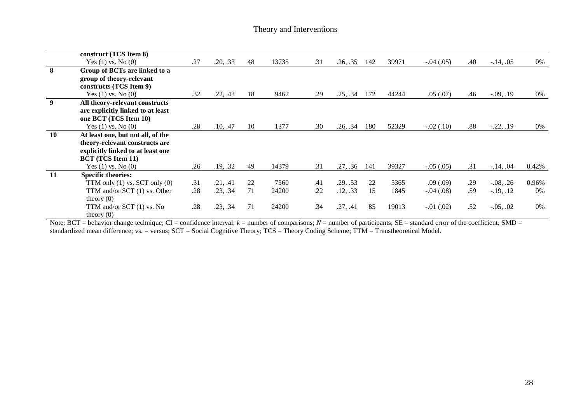|    | construct (TCS Item 8)                      |     |          |    |       |     |          |     |       |             |     |               |       |
|----|---------------------------------------------|-----|----------|----|-------|-----|----------|-----|-------|-------------|-----|---------------|-------|
|    | Yes $(1)$ vs. No $(0)$                      | .27 | .20, .33 | 48 | 13735 | .31 | .26, .35 | 142 | 39971 | $-.04(.05)$ | .40 | $-.14, .05$   | 0%    |
| 8  | Group of BCTs are linked to a               |     |          |    |       |     |          |     |       |             |     |               |       |
|    | group of theory-relevant                    |     |          |    |       |     |          |     |       |             |     |               |       |
|    | constructs (TCS Item 9)                     |     |          |    |       |     |          |     |       |             |     |               |       |
|    | Yes $(1)$ vs. No $(0)$                      | .32 | .22, .43 | 18 | 9462  | .29 | .25, .34 | 172 | 44244 | .05(.07)    | .46 | $-0.09, 0.19$ | 0%    |
| 9  | All theory-relevant constructs              |     |          |    |       |     |          |     |       |             |     |               |       |
|    | are explicitly linked to at least           |     |          |    |       |     |          |     |       |             |     |               |       |
|    | one BCT (TCS Item 10)                       |     |          |    |       |     |          |     |       |             |     |               |       |
|    | Yes $(1)$ vs. No $(0)$                      | .28 | .10, .47 | 10 | 1377  | .30 | .26, .34 | 180 | 52329 | $-.02(.10)$ | .88 | $-0.22, 0.19$ | 0%    |
| 10 | At least one, but not all, of the           |     |          |    |       |     |          |     |       |             |     |               |       |
|    | theory-relevant constructs are              |     |          |    |       |     |          |     |       |             |     |               |       |
|    | explicitly linked to at least one           |     |          |    |       |     |          |     |       |             |     |               |       |
|    | <b>BCT</b> (TCS Item 11)                    |     |          |    |       |     |          |     |       |             |     |               |       |
|    | Yes $(1)$ vs. No $(0)$                      | .26 | .19, .32 | 49 | 14379 | .31 | .27, .36 | 141 | 39327 | $-.05(.05)$ | .31 | $-14, .04$    | 0.42% |
| 11 | <b>Specific theories:</b>                   |     |          |    |       |     |          |     |       |             |     |               |       |
|    | TTM only $(1)$ vs. SCT only $(0)$           | .31 | .21, .41 | 22 | 7560  | .41 | .29, .53 | 22  | 5365  | .09(.09)    | .29 | $-0.08, .26$  | 0.96% |
|    | TTM and/or SCT (1) vs. Other                | .28 | .23, .34 | 71 | 24200 | .22 | .12, .33 | 15  | 1845  | $-.04(.08)$ | .59 | $-19, 12$     | $0\%$ |
|    | theory $(0)$                                |     |          |    |       |     |          |     |       |             |     |               |       |
|    | TTM and/or SCT $(1)$ vs. No<br>theory $(0)$ | .28 | .23, .34 | 71 | 24200 | .34 | .27, .41 | 85  | 19013 | $-.01(.02)$ | .52 | $-0.05, 0.02$ | $0\%$ |

Note:  $BCT =$  behavior change technique;  $CI =$  confidence interval;  $k =$  number of comparisons;  $N =$  number of participants;  $SE =$  standard error of the coefficient; SMD = standardized mean difference; vs. = versus; SCT = Social Cognitive Theory; TCS = Theory Coding Scheme; TTM = Transtheoretical Model.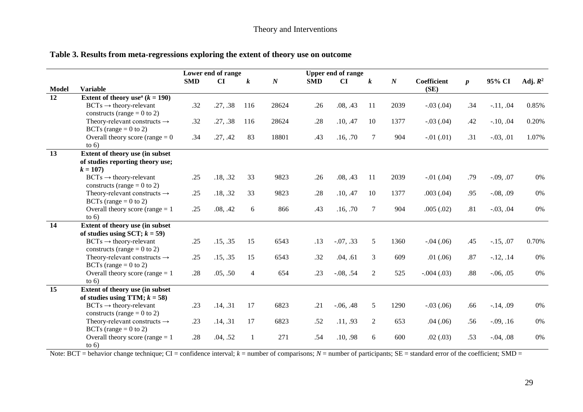| Table 3. Results from meta-regressions exploring the extent of theory use on outcome |  |
|--------------------------------------------------------------------------------------|--|
|--------------------------------------------------------------------------------------|--|

| <b>SMD</b><br>CI<br>$\boldsymbol{N}$<br>CI<br>$\boldsymbol{N}$<br>Coefficient<br>95% CI<br>Adj. $R^2$<br><b>SMD</b><br>$\boldsymbol{k}$<br>$\boldsymbol{k}$<br>$\boldsymbol{p}$<br>(SE)<br><b>Model</b><br><b>Variable</b><br>12<br>Extent of theory use <sup>a</sup> $(k = 190)$<br>.32<br>.27, .38<br>28624<br>.08, .43<br>2039<br>$-.03(.04)$<br>.34<br>$-.11, .04$<br>0.85%<br>$BCTs \rightarrow$ theory-relevant<br>116<br>.26<br>11<br>constructs (range = $0$ to 2)<br>.32<br>.27, .38<br>.28<br>.10, .47<br>$-.10, .04$<br>Theory-relevant constructs $\rightarrow$<br>116<br>28624<br>10<br>1377<br>$-.03(.04)$<br>.42<br>0.20%<br>BCTs (range $= 0$ to 2)<br>Overall theory score (range $= 0$<br>.34<br>.27, .42<br>83<br>18801<br>.43<br>.16, .70<br>904<br>$-.03, .01$<br>1.07%<br>7<br>$-.01(.01)$<br>.31<br>to $6)$<br>$\overline{13}$<br>Extent of theory use (in subset<br>of studies reporting theory use;<br>$k = 107$<br>$BCTs \rightarrow$ theory-relevant<br>.25<br>.18, .32<br>33<br>9823<br>.26<br>.08, .43<br>11<br>2039<br>$-.01(.04)$<br>.79<br>$-.09, .07$<br>0%<br>constructs (range = $0$ to 2)<br>.18, .32<br>.28<br>Theory-relevant constructs $\rightarrow$<br>.25<br>33<br>9823<br>.10, .47<br>10<br>1377<br>.003(.04)<br>.95<br>$-.08, .09$<br>0%<br>BCTs (range $= 0$ to 2)<br>Overall theory score (range $= 1$<br>.25<br>.08, .42<br>0%<br>866<br>.43<br>.16, .70<br>7<br>904<br>.005(.02)<br>.81<br>$-0.03, 0.04$<br>6<br>to $6)$<br>14<br>Extent of theory use (in subset<br>of studies using SCT; $k = 59$ )<br>.15, .35<br>$-.07, .33$<br>$BCTs \rightarrow$ theory-relevant<br>.25<br>15<br>6543<br>.13<br>5<br>1360<br>$-.04(.06)$<br>$-15, .07$<br>0.70%<br>.45<br>constructs (range = $0$ to 2)<br>Theory-relevant constructs $\rightarrow$<br>.25<br>.15, .35<br>15<br>.32<br>.04, .61<br>609<br>$-12, .14$<br>0%<br>6543<br>3<br>.01(.06)<br>.87 |
|--------------------------------------------------------------------------------------------------------------------------------------------------------------------------------------------------------------------------------------------------------------------------------------------------------------------------------------------------------------------------------------------------------------------------------------------------------------------------------------------------------------------------------------------------------------------------------------------------------------------------------------------------------------------------------------------------------------------------------------------------------------------------------------------------------------------------------------------------------------------------------------------------------------------------------------------------------------------------------------------------------------------------------------------------------------------------------------------------------------------------------------------------------------------------------------------------------------------------------------------------------------------------------------------------------------------------------------------------------------------------------------------------------------------------------------------------------------------------------------------------------------------------------------------------------------------------------------------------------------------------------------------------------------------------------------------------------------------------------------------------------------------------------------------------------------------------------------------------------------------------------------------------|
|                                                                                                                                                                                                                                                                                                                                                                                                                                                                                                                                                                                                                                                                                                                                                                                                                                                                                                                                                                                                                                                                                                                                                                                                                                                                                                                                                                                                                                                                                                                                                                                                                                                                                                                                                                                                                                                                                                  |
|                                                                                                                                                                                                                                                                                                                                                                                                                                                                                                                                                                                                                                                                                                                                                                                                                                                                                                                                                                                                                                                                                                                                                                                                                                                                                                                                                                                                                                                                                                                                                                                                                                                                                                                                                                                                                                                                                                  |
|                                                                                                                                                                                                                                                                                                                                                                                                                                                                                                                                                                                                                                                                                                                                                                                                                                                                                                                                                                                                                                                                                                                                                                                                                                                                                                                                                                                                                                                                                                                                                                                                                                                                                                                                                                                                                                                                                                  |
|                                                                                                                                                                                                                                                                                                                                                                                                                                                                                                                                                                                                                                                                                                                                                                                                                                                                                                                                                                                                                                                                                                                                                                                                                                                                                                                                                                                                                                                                                                                                                                                                                                                                                                                                                                                                                                                                                                  |
|                                                                                                                                                                                                                                                                                                                                                                                                                                                                                                                                                                                                                                                                                                                                                                                                                                                                                                                                                                                                                                                                                                                                                                                                                                                                                                                                                                                                                                                                                                                                                                                                                                                                                                                                                                                                                                                                                                  |
|                                                                                                                                                                                                                                                                                                                                                                                                                                                                                                                                                                                                                                                                                                                                                                                                                                                                                                                                                                                                                                                                                                                                                                                                                                                                                                                                                                                                                                                                                                                                                                                                                                                                                                                                                                                                                                                                                                  |
|                                                                                                                                                                                                                                                                                                                                                                                                                                                                                                                                                                                                                                                                                                                                                                                                                                                                                                                                                                                                                                                                                                                                                                                                                                                                                                                                                                                                                                                                                                                                                                                                                                                                                                                                                                                                                                                                                                  |
|                                                                                                                                                                                                                                                                                                                                                                                                                                                                                                                                                                                                                                                                                                                                                                                                                                                                                                                                                                                                                                                                                                                                                                                                                                                                                                                                                                                                                                                                                                                                                                                                                                                                                                                                                                                                                                                                                                  |
|                                                                                                                                                                                                                                                                                                                                                                                                                                                                                                                                                                                                                                                                                                                                                                                                                                                                                                                                                                                                                                                                                                                                                                                                                                                                                                                                                                                                                                                                                                                                                                                                                                                                                                                                                                                                                                                                                                  |
|                                                                                                                                                                                                                                                                                                                                                                                                                                                                                                                                                                                                                                                                                                                                                                                                                                                                                                                                                                                                                                                                                                                                                                                                                                                                                                                                                                                                                                                                                                                                                                                                                                                                                                                                                                                                                                                                                                  |
|                                                                                                                                                                                                                                                                                                                                                                                                                                                                                                                                                                                                                                                                                                                                                                                                                                                                                                                                                                                                                                                                                                                                                                                                                                                                                                                                                                                                                                                                                                                                                                                                                                                                                                                                                                                                                                                                                                  |
|                                                                                                                                                                                                                                                                                                                                                                                                                                                                                                                                                                                                                                                                                                                                                                                                                                                                                                                                                                                                                                                                                                                                                                                                                                                                                                                                                                                                                                                                                                                                                                                                                                                                                                                                                                                                                                                                                                  |
|                                                                                                                                                                                                                                                                                                                                                                                                                                                                                                                                                                                                                                                                                                                                                                                                                                                                                                                                                                                                                                                                                                                                                                                                                                                                                                                                                                                                                                                                                                                                                                                                                                                                                                                                                                                                                                                                                                  |
|                                                                                                                                                                                                                                                                                                                                                                                                                                                                                                                                                                                                                                                                                                                                                                                                                                                                                                                                                                                                                                                                                                                                                                                                                                                                                                                                                                                                                                                                                                                                                                                                                                                                                                                                                                                                                                                                                                  |
|                                                                                                                                                                                                                                                                                                                                                                                                                                                                                                                                                                                                                                                                                                                                                                                                                                                                                                                                                                                                                                                                                                                                                                                                                                                                                                                                                                                                                                                                                                                                                                                                                                                                                                                                                                                                                                                                                                  |
|                                                                                                                                                                                                                                                                                                                                                                                                                                                                                                                                                                                                                                                                                                                                                                                                                                                                                                                                                                                                                                                                                                                                                                                                                                                                                                                                                                                                                                                                                                                                                                                                                                                                                                                                                                                                                                                                                                  |
|                                                                                                                                                                                                                                                                                                                                                                                                                                                                                                                                                                                                                                                                                                                                                                                                                                                                                                                                                                                                                                                                                                                                                                                                                                                                                                                                                                                                                                                                                                                                                                                                                                                                                                                                                                                                                                                                                                  |
|                                                                                                                                                                                                                                                                                                                                                                                                                                                                                                                                                                                                                                                                                                                                                                                                                                                                                                                                                                                                                                                                                                                                                                                                                                                                                                                                                                                                                                                                                                                                                                                                                                                                                                                                                                                                                                                                                                  |
|                                                                                                                                                                                                                                                                                                                                                                                                                                                                                                                                                                                                                                                                                                                                                                                                                                                                                                                                                                                                                                                                                                                                                                                                                                                                                                                                                                                                                                                                                                                                                                                                                                                                                                                                                                                                                                                                                                  |
|                                                                                                                                                                                                                                                                                                                                                                                                                                                                                                                                                                                                                                                                                                                                                                                                                                                                                                                                                                                                                                                                                                                                                                                                                                                                                                                                                                                                                                                                                                                                                                                                                                                                                                                                                                                                                                                                                                  |
|                                                                                                                                                                                                                                                                                                                                                                                                                                                                                                                                                                                                                                                                                                                                                                                                                                                                                                                                                                                                                                                                                                                                                                                                                                                                                                                                                                                                                                                                                                                                                                                                                                                                                                                                                                                                                                                                                                  |
|                                                                                                                                                                                                                                                                                                                                                                                                                                                                                                                                                                                                                                                                                                                                                                                                                                                                                                                                                                                                                                                                                                                                                                                                                                                                                                                                                                                                                                                                                                                                                                                                                                                                                                                                                                                                                                                                                                  |
|                                                                                                                                                                                                                                                                                                                                                                                                                                                                                                                                                                                                                                                                                                                                                                                                                                                                                                                                                                                                                                                                                                                                                                                                                                                                                                                                                                                                                                                                                                                                                                                                                                                                                                                                                                                                                                                                                                  |
| BCTs (range $= 0$ to 2)                                                                                                                                                                                                                                                                                                                                                                                                                                                                                                                                                                                                                                                                                                                                                                                                                                                                                                                                                                                                                                                                                                                                                                                                                                                                                                                                                                                                                                                                                                                                                                                                                                                                                                                                                                                                                                                                          |
| Overall theory score (range $= 1$ )<br>.23<br>0%<br>.28<br>.05, .50<br>654<br>$-0.08, .54$<br>2<br>525<br>.88<br>$-0.06, 0.05$<br>$\overline{4}$<br>$-.004(.03)$                                                                                                                                                                                                                                                                                                                                                                                                                                                                                                                                                                                                                                                                                                                                                                                                                                                                                                                                                                                                                                                                                                                                                                                                                                                                                                                                                                                                                                                                                                                                                                                                                                                                                                                                 |
| to $6)$<br>$\overline{15}$                                                                                                                                                                                                                                                                                                                                                                                                                                                                                                                                                                                                                                                                                                                                                                                                                                                                                                                                                                                                                                                                                                                                                                                                                                                                                                                                                                                                                                                                                                                                                                                                                                                                                                                                                                                                                                                                       |
| Extent of theory use (in subset                                                                                                                                                                                                                                                                                                                                                                                                                                                                                                                                                                                                                                                                                                                                                                                                                                                                                                                                                                                                                                                                                                                                                                                                                                                                                                                                                                                                                                                                                                                                                                                                                                                                                                                                                                                                                                                                  |
| of studies using TTM; $k = 58$ )<br>.14, .31<br>$BCTs \rightarrow$ theory-relevant<br>17<br>6823<br>.21<br>$-.06, .48$<br>5<br>1290<br>$-.03(.06)$<br>$-.14, .09$<br>0%<br>.23<br>.66                                                                                                                                                                                                                                                                                                                                                                                                                                                                                                                                                                                                                                                                                                                                                                                                                                                                                                                                                                                                                                                                                                                                                                                                                                                                                                                                                                                                                                                                                                                                                                                                                                                                                                            |
| constructs (range = $0$ to 2)                                                                                                                                                                                                                                                                                                                                                                                                                                                                                                                                                                                                                                                                                                                                                                                                                                                                                                                                                                                                                                                                                                                                                                                                                                                                                                                                                                                                                                                                                                                                                                                                                                                                                                                                                                                                                                                                    |
| Theory-relevant constructs $\rightarrow$<br>.23<br>.14, .31<br>6823<br>.52<br>.11, .93<br>653<br>.04(.06)<br>$-0.09, 0.16$<br>$0\%$<br>17<br>.56                                                                                                                                                                                                                                                                                                                                                                                                                                                                                                                                                                                                                                                                                                                                                                                                                                                                                                                                                                                                                                                                                                                                                                                                                                                                                                                                                                                                                                                                                                                                                                                                                                                                                                                                                 |
| 2<br>BCTs (range $= 0$ to 2)                                                                                                                                                                                                                                                                                                                                                                                                                                                                                                                                                                                                                                                                                                                                                                                                                                                                                                                                                                                                                                                                                                                                                                                                                                                                                                                                                                                                                                                                                                                                                                                                                                                                                                                                                                                                                                                                     |
| 0%<br>Overall theory score (range $= 1$ )<br>.28<br>.04, .52<br>271<br>.54<br>.10, .98<br>600<br>.02(.03)<br>.53<br>$\mathbf{1}$<br>6<br>$-.04, .08$                                                                                                                                                                                                                                                                                                                                                                                                                                                                                                                                                                                                                                                                                                                                                                                                                                                                                                                                                                                                                                                                                                                                                                                                                                                                                                                                                                                                                                                                                                                                                                                                                                                                                                                                             |
| to $6)$                                                                                                                                                                                                                                                                                                                                                                                                                                                                                                                                                                                                                                                                                                                                                                                                                                                                                                                                                                                                                                                                                                                                                                                                                                                                                                                                                                                                                                                                                                                                                                                                                                                                                                                                                                                                                                                                                          |

Note:  $BCT$  = behavior change technique;  $CI$  = confidence interval;  $k$  = number of comparisons;  $N$  = number of participants;  $SE$  = standard error of the coefficient; SMD =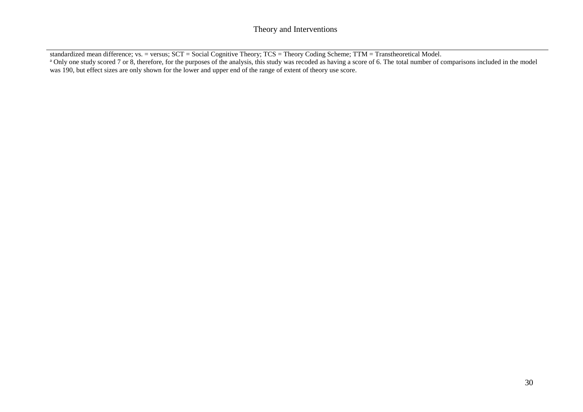standardized mean difference; vs. = versus; SCT = Social Cognitive Theory; TCS = Theory Coding Scheme; TTM = Transtheoretical Model. <sup>a</sup> Only one study scored 7 or 8, therefore, for the purposes of the analysis, this study was recoded as having a score of 6. The total number of comparisons included in the model was 190, but effect sizes are only shown for the lower and upper end of the range of extent of theory use score.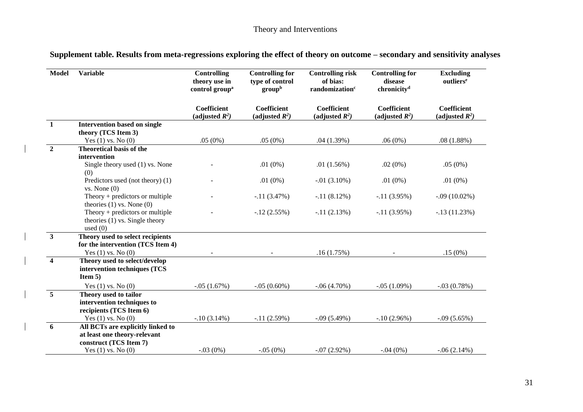# Theory and Interventions

| Supplement table. Results from meta-regressions exploring the effect of theory on outcome - secondary and sensitivity analyses |  |  |
|--------------------------------------------------------------------------------------------------------------------------------|--|--|
|                                                                                                                                |  |  |

| <b>Model</b>            | <b>Variable</b>                                                                                 | <b>Controlling</b><br>theory use in<br>control group <sup>a</sup> | <b>Controlling for</b><br>type of control<br>group <sup>b</sup> | <b>Controlling risk</b><br>of bias:<br>randomization <sup>c</sup> | <b>Controlling for</b><br>disease<br>chronicity <sup>d</sup> | <b>Excluding</b><br>outliers <sup>e</sup> |
|-------------------------|-------------------------------------------------------------------------------------------------|-------------------------------------------------------------------|-----------------------------------------------------------------|-------------------------------------------------------------------|--------------------------------------------------------------|-------------------------------------------|
|                         |                                                                                                 | <b>Coefficient</b><br>(adjusted $R^2$ )                           | <b>Coefficient</b><br>(adjusted $R^2$ )                         | Coefficient<br>(adjusted $R^2$ )                                  | Coefficient<br>(adjusted $R^2$ )                             | Coefficient<br>(adjusted $R^2$ )          |
| $\mathbf{1}$            | <b>Intervention based on single</b><br>theory (TCS Item 3)                                      |                                                                   |                                                                 |                                                                   |                                                              |                                           |
|                         | Yes $(1)$ vs. No $(0)$                                                                          | .05(0%)                                                           | .05(0%)                                                         | .04(1.39%)                                                        | .06(0%)                                                      | .08(1.88%)                                |
| $\overline{2}$          | <b>Theoretical basis of the</b><br>intervention                                                 |                                                                   |                                                                 |                                                                   |                                                              |                                           |
|                         | Single theory used (1) vs. None<br>(0)                                                          |                                                                   | .01 $(0\%)$                                                     | .01(1.56%)                                                        | $.02(0\%)$                                                   | .05(0%)                                   |
|                         | Predictors used (not theory) (1)<br>vs. None(0)                                                 |                                                                   | .01 $(0\%)$                                                     | $-0.01(3.10\%)$                                                   | .01 $(0\%)$                                                  | .01 $(0\%)$                               |
|                         | Theory $+$ predictors or multiple<br>theories $(1)$ vs. None $(0)$                              |                                                                   | $-.11(3.47%)$                                                   | $-.11(8.12%)$                                                     | $-.11(3.95%)$                                                | $-.09(10.02\%)$                           |
|                         | Theory $+$ predictors or multiple<br>theories (1) vs. Single theory<br>used $(0)$               |                                                                   | $-.12(2.55%)$                                                   | $-11(2.13%)$                                                      | $-.11(3.95%)$                                                | $-.13(11.23%)$                            |
| $\mathbf{3}$            | Theory used to select recipients<br>for the intervention (TCS Item 4)<br>Yes $(1)$ vs. No $(0)$ |                                                                   |                                                                 | .16(1.75%)                                                        |                                                              | .15(0%)                                   |
| $\overline{\mathbf{4}}$ | Theory used to select/develop<br>intervention techniques (TCS<br>Item $5$ )                     |                                                                   |                                                                 |                                                                   |                                                              |                                           |
|                         | Yes $(1)$ vs. No $(0)$                                                                          | $-.05(1.67%)$                                                     | $-.05(0.60\%)$                                                  | $-.06(4.70%)$                                                     | $-.05(1.09%)$                                                | $-.03(0.78%)$                             |
| 5                       | Theory used to tailor<br>intervention techniques to<br>recipients (TCS Item 6)                  |                                                                   |                                                                 |                                                                   |                                                              |                                           |
|                         | Yes $(1)$ vs. No $(0)$                                                                          | $-.10(3.14%)$                                                     | $-.11(2.59%)$                                                   | $-.09(5.49%)$                                                     | $-.10(2.96%)$                                                | $-.09(5.65%)$                             |
| 6                       | All BCTs are explicitly linked to<br>at least one theory-relevant<br>construct (TCS Item 7)     |                                                                   |                                                                 |                                                                   |                                                              |                                           |
|                         | Yes $(1)$ vs. No $(0)$                                                                          | $-.03(0%)$                                                        | $-.05(0%)$                                                      | $-.07(2.92%)$                                                     | $-.04(0\%)$                                                  | $-0.06(2.14\%)$                           |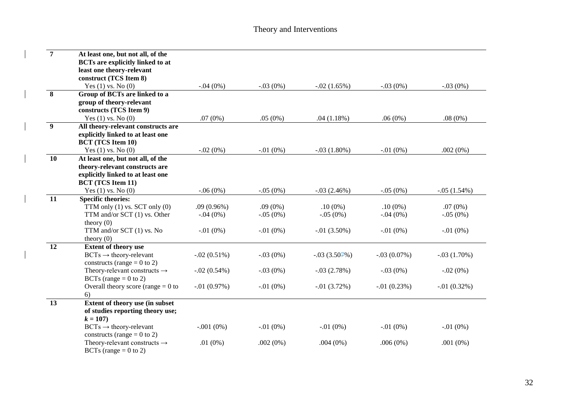| $\overline{7}$   | At least one, but not all, of the<br><b>BCTs are explicitly linked to at</b><br>least one theory-relevant<br>construct (TCS Item 8)                                                                                                   |                                                 |                                        |                                                    |                                               |                                                |
|------------------|---------------------------------------------------------------------------------------------------------------------------------------------------------------------------------------------------------------------------------------|-------------------------------------------------|----------------------------------------|----------------------------------------------------|-----------------------------------------------|------------------------------------------------|
|                  | Yes $(1)$ vs. No $(0)$                                                                                                                                                                                                                | $-.04(0%)$                                      | $-.03(0%)$                             | $-.02(1.65%)$                                      | $-.03(0%)$                                    | $-.03(0%)$                                     |
| 8                | Group of BCTs are linked to a<br>group of theory-relevant<br>constructs (TCS Item 9)                                                                                                                                                  | .07(0%)                                         | .05(0%)                                | .04(1.18%)                                         | .06(0%)                                       | $.08(0\%)$                                     |
| $\boldsymbol{9}$ | Yes $(1)$ vs. No $(0)$<br>All theory-relevant constructs are                                                                                                                                                                          |                                                 |                                        |                                                    |                                               |                                                |
|                  | explicitly linked to at least one<br><b>BCT</b> (TCS Item 10)                                                                                                                                                                         |                                                 |                                        |                                                    |                                               |                                                |
| 10               | Yes $(1)$ vs. No $(0)$                                                                                                                                                                                                                | $-.02(0%)$                                      | $-.01(0%)$                             | $-.03(1.80%)$                                      | $-.01(0%)$                                    | .002(0%)                                       |
|                  | At least one, but not all, of the<br>theory-relevant constructs are<br>explicitly linked to at least one<br><b>BCT</b> (TCS Item 11)                                                                                                  |                                                 |                                        |                                                    |                                               |                                                |
|                  | Yes $(1)$ vs. No $(0)$                                                                                                                                                                                                                | $-.06(0%)$                                      | $-.05(0%)$                             | $-.03(2.46%)$                                      | $-.05(0%)$                                    | $-.05(1.54%)$                                  |
| 11               | <b>Specific theories:</b><br>TTM only $(1)$ vs. SCT only $(0)$<br>TTM and/or SCT (1) vs. Other<br>theory $(0)$<br>TTM and/or SCT (1) vs. No<br>theory $(0)$                                                                           | .09(0.96%)<br>$-.04(0%)$<br>$-.01(0%)$          | $.09(0\%)$<br>$-.05(0%)$<br>$-.01(0%)$ | $.10(0\%)$<br>$-.05(0%)$<br>$-0.01(3.50\%)$        | $.10(0\%)$<br>$-.04(0%)$<br>$-.01(0%)$        | .07(0%)<br>$-.05(0%)$<br>$-.01(0%)$            |
| $\overline{12}$  | <b>Extent of theory use</b><br>$\text{BCTs} \rightarrow \text{theory-relevant}$<br>constructs (range = $0$ to 2)<br>Theory-relevant constructs $\rightarrow$<br>BCTs (range $= 0$ to 2)<br>Overall theory score (range $= 0$ to<br>6) | $-.02(0.51%)$<br>$-.02(0.54%)$<br>$-.01(0.97%)$ | $-.03(0%)$<br>$-.03(0%)$<br>$-.01(0%)$ | $-.03(3.504\%)$<br>$-.03(2.78%)$<br>$-0.01(3.72%)$ | $-.03(0.07%)$<br>$-.03(0%)$<br>$-0.01(0.23%)$ | $-.03(1.70%)$<br>$-.02(0%)$<br>$-0.01(0.32\%)$ |
| 13               | <b>Extent of theory use (in subset)</b><br>of studies reporting theory use;<br>$k = 107$<br>$\text{BCTs} \rightarrow \text{theory-relevant}$                                                                                          | $-.001(0%)$                                     | $-.01(0%)$                             | $-.01(0%)$                                         | $-.01(0\%)$                                   | $-.01(0%)$                                     |
|                  | constructs (range = $0$ to 2)<br>Theory-relevant constructs $\rightarrow$<br>BCTs (range $= 0$ to 2)                                                                                                                                  | .01 $(0\%)$                                     | .002(0%)                               | $.004(0\%)$                                        | .006(0%)                                      | $.001(0\%)$                                    |